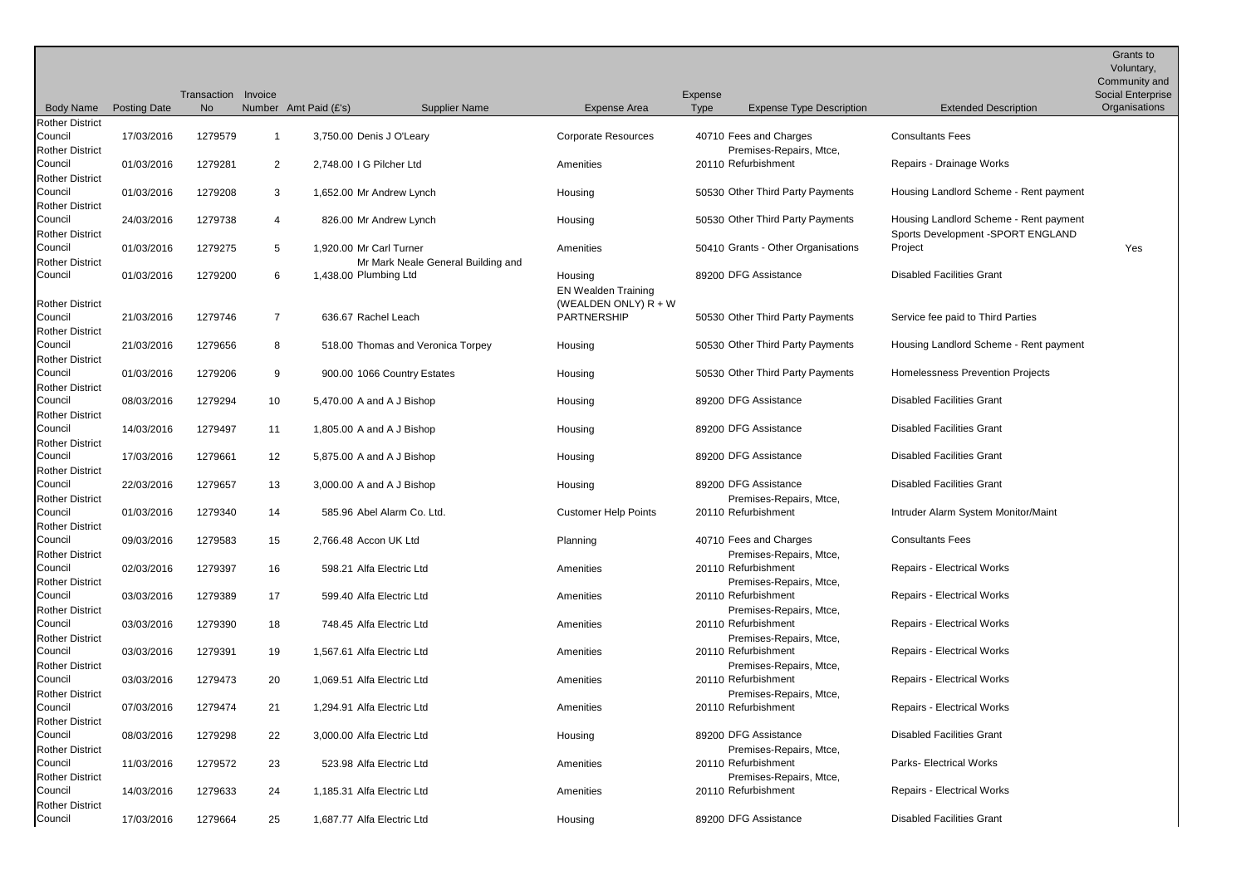|                                   |                     |             |                |                            |                                    |                             |             |                                                |                                        | Grants to<br>Voluntary,<br>Community and |
|-----------------------------------|---------------------|-------------|----------------|----------------------------|------------------------------------|-----------------------------|-------------|------------------------------------------------|----------------------------------------|------------------------------------------|
|                                   |                     | Transaction | Invoice        |                            |                                    |                             | Expense     |                                                |                                        | Social Enterprise                        |
| <b>Body Name</b>                  | <b>Posting Date</b> | <b>No</b>   |                | Number Amt Paid (£'s)      | <b>Supplier Name</b>               | Expense Area                | <b>Type</b> | <b>Expense Type Description</b>                | <b>Extended Description</b>            | Organisations                            |
| <b>Rother District</b>            |                     |             |                |                            |                                    |                             |             |                                                |                                        |                                          |
| Council                           | 17/03/2016          | 1279579     |                | 3,750.00 Denis J O'Leary   |                                    | <b>Corporate Resources</b>  |             | 40710 Fees and Charges                         | <b>Consultants Fees</b>                |                                          |
| <b>Rother District</b>            |                     |             |                |                            |                                    |                             |             | Premises-Repairs, Mtce,                        |                                        |                                          |
| Council                           | 01/03/2016          | 1279281     | $\overline{2}$ | 2,748.00 I G Pilcher Ltd   |                                    | Amenities                   |             | 20110 Refurbishment                            | Repairs - Drainage Works               |                                          |
| <b>Rother District</b>            |                     |             |                |                            |                                    |                             |             |                                                |                                        |                                          |
| Council                           | 01/03/2016          | 1279208     | 3              |                            | 1,652.00 Mr Andrew Lynch           | Housing                     |             | 50530 Other Third Party Payments               | Housing Landlord Scheme - Rent payment |                                          |
| <b>Rother District</b>            |                     |             |                |                            |                                    |                             |             |                                                |                                        |                                          |
| Council                           | 24/03/2016          | 1279738     | 4              |                            | 826.00 Mr Andrew Lynch             | Housing                     |             | 50530 Other Third Party Payments               | Housing Landlord Scheme - Rent payment |                                          |
| <b>Rother District</b>            |                     |             |                |                            |                                    |                             |             |                                                | Sports Development - SPORT ENGLAND     |                                          |
| Council<br><b>Rother District</b> | 01/03/2016          | 1279275     | 5              | 1,920.00 Mr Carl Turner    |                                    | Amenities                   |             | 50410 Grants - Other Organisations             | Project                                | Yes                                      |
| Council                           | 01/03/2016          | 1279200     | 6              | 1,438.00 Plumbing Ltd      | Mr Mark Neale General Building and | Housing                     |             | 89200 DFG Assistance                           | <b>Disabled Facilities Grant</b>       |                                          |
|                                   |                     |             |                |                            |                                    | <b>EN Wealden Training</b>  |             |                                                |                                        |                                          |
| <b>Rother District</b>            |                     |             |                |                            |                                    | (WEALDEN ONLY) $R + W$      |             |                                                |                                        |                                          |
| Council                           | 21/03/2016          | 1279746     | $\overline{7}$ | 636.67 Rachel Leach        |                                    | PARTNERSHIP                 |             | 50530 Other Third Party Payments               | Service fee paid to Third Parties      |                                          |
| <b>Rother District</b>            |                     |             |                |                            |                                    |                             |             |                                                |                                        |                                          |
| Council                           | 21/03/2016          | 1279656     | 8              |                            | 518.00 Thomas and Veronica Torpey  | Housing                     |             | 50530 Other Third Party Payments               | Housing Landlord Scheme - Rent payment |                                          |
| <b>Rother District</b>            |                     |             |                |                            |                                    |                             |             |                                                |                                        |                                          |
| Council                           | 01/03/2016          | 1279206     | 9              |                            | 900.00 1066 Country Estates        | Housing                     |             | 50530 Other Third Party Payments               | Homelessness Prevention Projects       |                                          |
| <b>Rother District</b>            |                     |             |                |                            |                                    |                             |             |                                                |                                        |                                          |
| Council                           | 08/03/2016          | 1279294     | 10             |                            | 5,470.00 A and A J Bishop          | Housing                     |             | 89200 DFG Assistance                           | <b>Disabled Facilities Grant</b>       |                                          |
| <b>Rother District</b>            |                     |             |                |                            |                                    |                             |             |                                                |                                        |                                          |
| Council                           | 14/03/2016          | 1279497     | 11             |                            | 1,805.00 A and A J Bishop          | Housing                     |             | 89200 DFG Assistance                           | <b>Disabled Facilities Grant</b>       |                                          |
| <b>Rother District</b>            |                     |             |                |                            |                                    |                             |             |                                                |                                        |                                          |
| Council                           | 17/03/2016          | 1279661     | 12             |                            | 5,875.00 A and A J Bishop          | Housing                     |             | 89200 DFG Assistance                           | <b>Disabled Facilities Grant</b>       |                                          |
| <b>Rother District</b>            |                     |             |                |                            |                                    |                             |             | 89200 DFG Assistance                           | <b>Disabled Facilities Grant</b>       |                                          |
| Council<br><b>Rother District</b> | 22/03/2016          | 1279657     | 13             |                            | 3,000.00 A and A J Bishop          | Housing                     |             | Premises-Repairs, Mtce,                        |                                        |                                          |
| Council                           | 01/03/2016          | 1279340     | 14             |                            | 585.96 Abel Alarm Co. Ltd.         | <b>Customer Help Points</b> |             | 20110 Refurbishment                            | Intruder Alarm System Monitor/Maint    |                                          |
| <b>Rother District</b>            |                     |             |                |                            |                                    |                             |             |                                                |                                        |                                          |
| Council                           | 09/03/2016          | 1279583     | 15             | 2,766.48 Accon UK Ltd      |                                    | Planning                    |             | 40710 Fees and Charges                         | <b>Consultants Fees</b>                |                                          |
| <b>Rother District</b>            |                     |             |                |                            |                                    |                             |             | Premises-Repairs, Mtce,                        |                                        |                                          |
| Council                           | 02/03/2016          | 1279397     | 16             |                            | 598.21 Alfa Electric Ltd           | Amenities                   |             | 20110 Refurbishment                            | Repairs - Electrical Works             |                                          |
| <b>Rother District</b>            |                     |             |                |                            |                                    |                             |             | Premises-Repairs, Mtce,                        |                                        |                                          |
| Council                           | 03/03/2016          | 1279389     | 17             |                            | 599.40 Alfa Electric Ltd           | Amenities                   |             | 20110 Refurbishment                            | <b>Repairs - Electrical Works</b>      |                                          |
| <b>Rother District</b>            |                     |             |                |                            |                                    |                             |             | Premises-Repairs, Mtce,                        |                                        |                                          |
| Council                           | 03/03/2016          | 1279390     | 18             |                            | 748.45 Alfa Electric Ltd           | Amenities                   |             | 20110 Refurbishment                            | <b>Repairs - Electrical Works</b>      |                                          |
| <b>Rother District</b>            |                     |             |                |                            |                                    |                             |             | Premises-Repairs, Mtce,                        |                                        |                                          |
| Council                           | 03/03/2016          | 1279391     | 19             | 1,567.61 Alfa Electric Ltd |                                    | Amenities                   |             | 20110 Refurbishment                            | <b>Repairs - Electrical Works</b>      |                                          |
| <b>Rother District</b>            |                     |             |                |                            |                                    |                             |             | Premises-Repairs, Mtce,                        |                                        |                                          |
| Council                           | 03/03/2016          | 1279473     | 20             | 1,069.51 Alfa Electric Ltd |                                    | Amenities                   |             | 20110 Refurbishment                            | <b>Repairs - Electrical Works</b>      |                                          |
| <b>Rother District</b>            |                     |             |                |                            |                                    |                             |             | Premises-Repairs, Mtce,<br>20110 Refurbishment | <b>Repairs - Electrical Works</b>      |                                          |
| Council                           | 07/03/2016          | 1279474     | 21             | 1,294.91 Alfa Electric Ltd |                                    | Amenities                   |             |                                                |                                        |                                          |
| <b>Rother District</b><br>Council | 08/03/2016          | 1279298     |                | 3,000.00 Alfa Electric Ltd |                                    | Housing                     |             | 89200 DFG Assistance                           | <b>Disabled Facilities Grant</b>       |                                          |
| <b>Rother District</b>            |                     |             | 22             |                            |                                    |                             |             | Premises-Repairs, Mtce,                        |                                        |                                          |
| Council                           | 11/03/2016          | 1279572     | 23             |                            | 523.98 Alfa Electric Ltd           | Amenities                   |             | 20110 Refurbishment                            | Parks- Electrical Works                |                                          |
| <b>Rother District</b>            |                     |             |                |                            |                                    |                             |             | Premises-Repairs, Mtce,                        |                                        |                                          |
| Council                           | 14/03/2016          | 1279633     | 24             | 1,185.31 Alfa Electric Ltd |                                    | Amenities                   |             | 20110 Refurbishment                            | <b>Repairs - Electrical Works</b>      |                                          |
| <b>Rother District</b>            |                     |             |                |                            |                                    |                             |             |                                                |                                        |                                          |
| Council                           | 17/03/2016          | 1279664     | 25             | 1,687.77 Alfa Electric Ltd |                                    | Housing                     |             | 89200 DFG Assistance                           | <b>Disabled Facilities Grant</b>       |                                          |
|                                   |                     |             |                |                            |                                    |                             |             |                                                |                                        |                                          |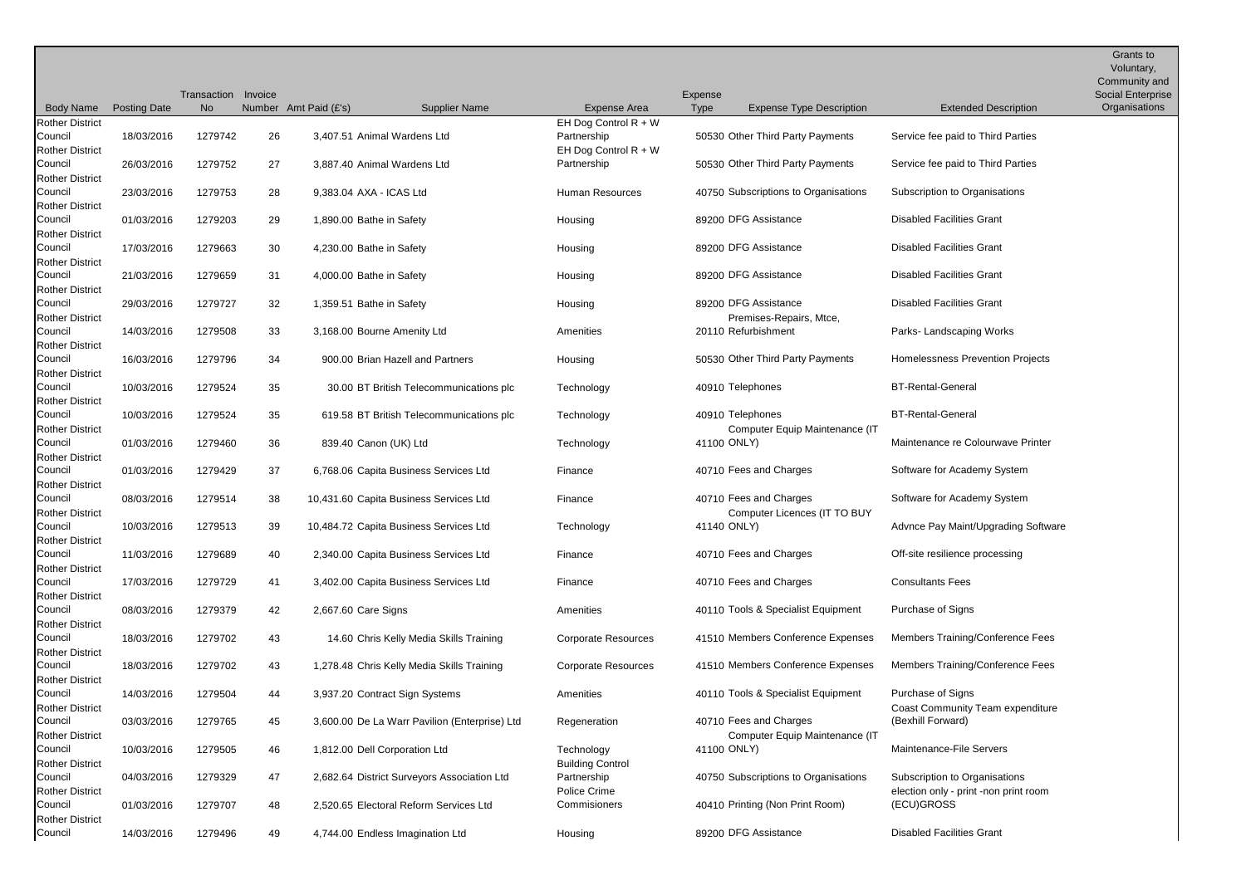|                                                             |                     |             |         |                          |                                               |                                                                 |             |                                                          |                                                                        | Grants to<br>Voluntary,<br>Community and |
|-------------------------------------------------------------|---------------------|-------------|---------|--------------------------|-----------------------------------------------|-----------------------------------------------------------------|-------------|----------------------------------------------------------|------------------------------------------------------------------------|------------------------------------------|
|                                                             |                     | Transaction | Invoice |                          |                                               |                                                                 | Expense     |                                                          |                                                                        | <b>Social Enterprise</b>                 |
| <b>Body Name</b>                                            | <b>Posting Date</b> | <b>No</b>   |         | Number Amt Paid (£'s)    | Supplier Name                                 | Expense Area                                                    | Type        | <b>Expense Type Description</b>                          | <b>Extended Description</b>                                            | Organisations                            |
| <b>Rother District</b><br>Council<br><b>Rother District</b> | 18/03/2016          | 1279742     | 26      |                          | 3,407.51 Animal Wardens Ltd                   | EH Dog Control $R + W$<br>Partnership<br>EH Dog Control $R + W$ |             | 50530 Other Third Party Payments                         | Service fee paid to Third Parties                                      |                                          |
| Council<br><b>Rother District</b>                           | 26/03/2016          | 1279752     | 27      |                          | 3,887.40 Animal Wardens Ltd                   | Partnership                                                     |             | 50530 Other Third Party Payments                         | Service fee paid to Third Parties                                      |                                          |
| Council                                                     | 23/03/2016          | 1279753     | 28      | 9,383.04 AXA - ICAS Ltd  |                                               | Human Resources                                                 |             | 40750 Subscriptions to Organisations                     | Subscription to Organisations                                          |                                          |
| <b>Rother District</b><br>Council                           | 01/03/2016          | 1279203     | 29      | 1,890.00 Bathe in Safety |                                               | Housing                                                         |             | 89200 DFG Assistance                                     | <b>Disabled Facilities Grant</b>                                       |                                          |
| <b>Rother District</b><br>Council<br><b>Rother District</b> | 17/03/2016          | 1279663     | 30      | 4,230.00 Bathe in Safety |                                               | Housing                                                         |             | 89200 DFG Assistance                                     | <b>Disabled Facilities Grant</b>                                       |                                          |
| Council<br><b>Rother District</b>                           | 21/03/2016          | 1279659     | 31      | 4,000.00 Bathe in Safety |                                               | Housing                                                         |             | 89200 DFG Assistance                                     | <b>Disabled Facilities Grant</b>                                       |                                          |
| Council<br><b>Rother District</b>                           | 29/03/2016          | 1279727     | 32      | 1,359.51 Bathe in Safety |                                               | Housing                                                         |             | 89200 DFG Assistance<br>Premises-Repairs, Mtce,          | <b>Disabled Facilities Grant</b>                                       |                                          |
| Council<br><b>Rother District</b>                           | 14/03/2016          | 1279508     | 33      |                          | 3,168.00 Bourne Amenity Ltd                   | Amenities                                                       |             | 20110 Refurbishment                                      | Parks-Landscaping Works                                                |                                          |
| Council<br><b>Rother District</b>                           | 16/03/2016          | 1279796     | 34      |                          | 900.00 Brian Hazell and Partners              | Housing                                                         |             | 50530 Other Third Party Payments                         | <b>Homelessness Prevention Projects</b>                                |                                          |
| Council<br><b>Rother District</b>                           | 10/03/2016          | 1279524     | 35      |                          | 30.00 BT British Telecommunications plc       | Technology                                                      |             | 40910 Telephones                                         | <b>BT-Rental-General</b>                                               |                                          |
| Council<br><b>Rother District</b>                           | 10/03/2016          | 1279524     | 35      |                          | 619.58 BT British Telecommunications plc      | Technology                                                      |             | 40910 Telephones<br>Computer Equip Maintenance (IT       | <b>BT-Rental-General</b>                                               |                                          |
| Council<br><b>Rother District</b>                           | 01/03/2016          | 1279460     | 36      | 839.40 Canon (UK) Ltd    |                                               | Technology                                                      | 41100 ONLY) |                                                          | Maintenance re Colourwave Printer                                      |                                          |
| Council<br><b>Rother District</b>                           | 01/03/2016          | 1279429     | 37      |                          | 6,768.06 Capita Business Services Ltd         | Finance                                                         |             | 40710 Fees and Charges                                   | Software for Academy System                                            |                                          |
| Council<br><b>Rother District</b>                           | 08/03/2016          | 1279514     | 38      |                          | 10,431.60 Capita Business Services Ltd        | Finance                                                         |             | 40710 Fees and Charges<br>Computer Licences (IT TO BUY   | Software for Academy System                                            |                                          |
| Council<br><b>Rother District</b>                           | 10/03/2016          | 1279513     | 39      |                          | 10,484.72 Capita Business Services Ltd        | Technology                                                      | 41140 ONLY) |                                                          | Advnce Pay Maint/Upgrading Software                                    |                                          |
| Council<br><b>Rother District</b>                           | 11/03/2016          | 1279689     | 40      |                          | 2,340.00 Capita Business Services Ltd         | Finance                                                         |             | 40710 Fees and Charges                                   | Off-site resilience processing                                         |                                          |
| Council<br><b>Rother District</b>                           | 17/03/2016          | 1279729     | 41      |                          | 3,402.00 Capita Business Services Ltd         | Finance                                                         |             | 40710 Fees and Charges                                   | <b>Consultants Fees</b>                                                |                                          |
| Council<br><b>Rother District</b>                           | 08/03/2016          | 1279379     | 42      | 2,667.60 Care Signs      |                                               | Amenities                                                       |             | 40110 Tools & Specialist Equipment                       | Purchase of Signs                                                      |                                          |
| Council<br><b>Rother District</b>                           | 18/03/2016          | 1279702     | 43      |                          | 14.60 Chris Kelly Media Skills Training       | <b>Corporate Resources</b>                                      |             | 41510 Members Conference Expenses                        | Members Training/Conference Fees                                       |                                          |
| Council<br><b>Rother District</b>                           | 18/03/2016          | 1279702     | 43      |                          | 1,278.48 Chris Kelly Media Skills Training    | <b>Corporate Resources</b>                                      |             | 41510 Members Conference Expenses                        | <b>Members Training/Conference Fees</b>                                |                                          |
| Council<br><b>Rother District</b>                           | 14/03/2016          | 1279504     | 44      |                          | 3,937.20 Contract Sign Systems                | Amenities                                                       |             | 40110 Tools & Specialist Equipment                       | Purchase of Signs<br>Coast Community Team expenditure                  |                                          |
| Council<br><b>Rother District</b>                           | 03/03/2016          | 1279765     | 45      |                          | 3,600.00 De La Warr Pavilion (Enterprise) Ltd | Regeneration                                                    |             | 40710 Fees and Charges<br>Computer Equip Maintenance (IT | (Bexhill Forward)                                                      |                                          |
| Council<br><b>Rother District</b>                           | 10/03/2016          | 1279505     | 46      |                          | 1,812.00 Dell Corporation Ltd                 | Technology<br><b>Building Control</b>                           | 41100 ONLY) |                                                          | Maintenance-File Servers                                               |                                          |
| Council<br><b>Rother District</b>                           | 04/03/2016          | 1279329     | 47      |                          | 2,682.64 District Surveyors Association Ltd   | Partnership<br>Police Crime                                     |             | 40750 Subscriptions to Organisations                     | Subscription to Organisations<br>election only - print -non print room |                                          |
| Council<br><b>Rother District</b>                           | 01/03/2016          | 1279707     | 48      |                          | 2,520.65 Electoral Reform Services Ltd        | Commisioners                                                    |             | 40410 Printing (Non Print Room)                          | (ECU)GROSS                                                             |                                          |
| Council                                                     | 14/03/2016          | 1279496     | 49      |                          | 4,744.00 Endless Imagination Ltd              | Housing                                                         |             | 89200 DFG Assistance                                     | <b>Disabled Facilities Grant</b>                                       |                                          |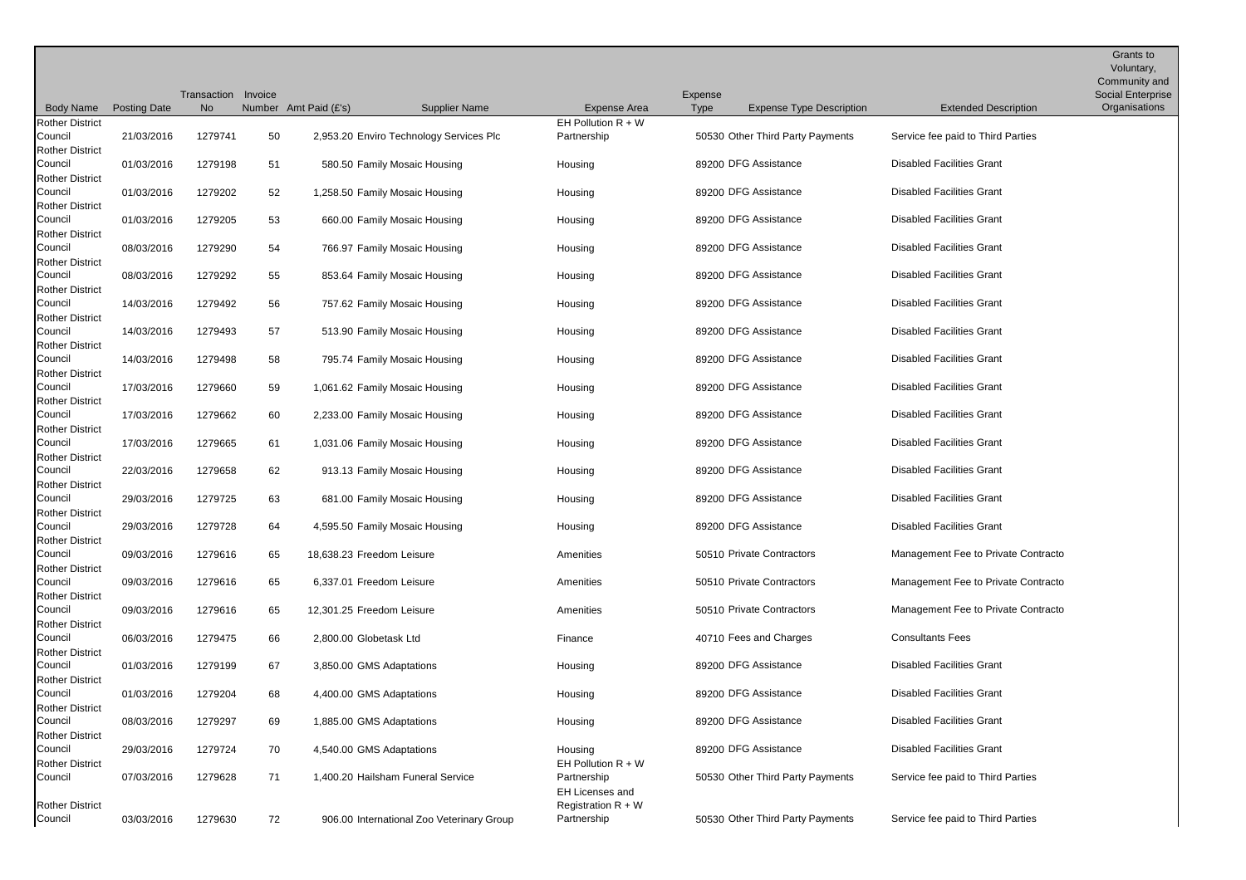|                                   |                     |             |         |                                           |                                         |                      |                                  |                                     | Grants to<br>Voluntary,<br>Community and |
|-----------------------------------|---------------------|-------------|---------|-------------------------------------------|-----------------------------------------|----------------------|----------------------------------|-------------------------------------|------------------------------------------|
|                                   |                     | Transaction | Invoice |                                           |                                         | Expense              |                                  |                                     | Social Enterprise                        |
| <b>Body Name</b>                  | <b>Posting Date</b> | <b>No</b>   |         | Number Amt Paid (£'s)<br>Supplier Name    | Expense Area                            | Type                 | <b>Expense Type Description</b>  | <b>Extended Description</b>         | Organisations                            |
| <b>Rother District</b>            |                     |             |         |                                           | EH Pollution $R + W$                    |                      |                                  |                                     |                                          |
| Council                           | 21/03/2016          | 1279741     | 50      | 2,953.20 Enviro Technology Services Plc   | Partnership                             |                      | 50530 Other Third Party Payments | Service fee paid to Third Parties   |                                          |
| <b>Rother District</b><br>Council | 01/03/2016          | 1279198     | 51      | 580.50 Family Mosaic Housing              | Housing                                 | 89200 DFG Assistance |                                  | <b>Disabled Facilities Grant</b>    |                                          |
| <b>Rother District</b>            |                     |             |         |                                           |                                         |                      |                                  |                                     |                                          |
| Council                           | 01/03/2016          | 1279202     | 52      | 1,258.50 Family Mosaic Housing            | Housing                                 | 89200 DFG Assistance |                                  | <b>Disabled Facilities Grant</b>    |                                          |
| <b>Rother District</b>            |                     |             |         |                                           |                                         |                      |                                  |                                     |                                          |
| Council                           | 01/03/2016          | 1279205     | 53      | 660.00 Family Mosaic Housing              | Housing                                 | 89200 DFG Assistance |                                  | <b>Disabled Facilities Grant</b>    |                                          |
| <b>Rother District</b>            |                     |             |         |                                           |                                         |                      |                                  |                                     |                                          |
| Council                           | 08/03/2016          | 1279290     | 54      | 766.97 Family Mosaic Housing              | Housing                                 | 89200 DFG Assistance |                                  | <b>Disabled Facilities Grant</b>    |                                          |
| <b>Rother District</b>            |                     |             |         |                                           |                                         |                      |                                  |                                     |                                          |
| Council                           | 08/03/2016          | 1279292     | 55      | 853.64 Family Mosaic Housing              | Housing                                 | 89200 DFG Assistance |                                  | <b>Disabled Facilities Grant</b>    |                                          |
| <b>Rother District</b>            |                     |             |         |                                           |                                         |                      |                                  |                                     |                                          |
| Council<br><b>Rother District</b> | 14/03/2016          | 1279492     | 56      | 757.62 Family Mosaic Housing              | Housing                                 | 89200 DFG Assistance |                                  | <b>Disabled Facilities Grant</b>    |                                          |
| Council                           | 14/03/2016          | 1279493     | 57      | 513.90 Family Mosaic Housing              | Housing                                 | 89200 DFG Assistance |                                  | <b>Disabled Facilities Grant</b>    |                                          |
| <b>Rother District</b>            |                     |             |         |                                           |                                         |                      |                                  |                                     |                                          |
| Council                           | 14/03/2016          | 1279498     | 58      | 795.74 Family Mosaic Housing              | Housing                                 | 89200 DFG Assistance |                                  | <b>Disabled Facilities Grant</b>    |                                          |
| <b>Rother District</b>            |                     |             |         |                                           |                                         |                      |                                  |                                     |                                          |
| Council                           | 17/03/2016          | 1279660     | 59      | 1,061.62 Family Mosaic Housing            | Housing                                 | 89200 DFG Assistance |                                  | <b>Disabled Facilities Grant</b>    |                                          |
| <b>Rother District</b>            |                     |             |         |                                           |                                         |                      |                                  |                                     |                                          |
| Council                           | 17/03/2016          | 1279662     | 60      | 2,233.00 Family Mosaic Housing            | Housing                                 | 89200 DFG Assistance |                                  | <b>Disabled Facilities Grant</b>    |                                          |
| <b>Rother District</b><br>Council | 17/03/2016          | 1279665     | 61      | 1,031.06 Family Mosaic Housing            | Housing                                 | 89200 DFG Assistance |                                  | <b>Disabled Facilities Grant</b>    |                                          |
| <b>Rother District</b>            |                     |             |         |                                           |                                         |                      |                                  |                                     |                                          |
| Council                           | 22/03/2016          | 1279658     | 62      | 913.13 Family Mosaic Housing              | Housing                                 | 89200 DFG Assistance |                                  | <b>Disabled Facilities Grant</b>    |                                          |
| <b>Rother District</b>            |                     |             |         |                                           |                                         |                      |                                  |                                     |                                          |
| Council                           | 29/03/2016          | 1279725     | 63      | 681.00 Family Mosaic Housing              | Housing                                 | 89200 DFG Assistance |                                  | <b>Disabled Facilities Grant</b>    |                                          |
| <b>Rother District</b>            |                     |             |         |                                           |                                         |                      |                                  |                                     |                                          |
| Council                           | 29/03/2016          | 1279728     | 64      | 4,595.50 Family Mosaic Housing            | Housing                                 | 89200 DFG Assistance |                                  | <b>Disabled Facilities Grant</b>    |                                          |
| <b>Rother District</b><br>Council |                     |             |         |                                           |                                         |                      | 50510 Private Contractors        | Management Fee to Private Contracto |                                          |
| <b>Rother District</b>            | 09/03/2016          | 1279616     | 65      | 18,638.23 Freedom Leisure                 | Amenities                               |                      |                                  |                                     |                                          |
| Council                           | 09/03/2016          | 1279616     | 65      | 6,337.01 Freedom Leisure                  | Amenities                               |                      | 50510 Private Contractors        | Management Fee to Private Contracto |                                          |
| <b>Rother District</b>            |                     |             |         |                                           |                                         |                      |                                  |                                     |                                          |
| Council                           | 09/03/2016          | 1279616     | 65      | 12,301.25 Freedom Leisure                 | Amenities                               |                      | 50510 Private Contractors        | Management Fee to Private Contracto |                                          |
| <b>Rother District</b>            |                     |             |         |                                           |                                         |                      |                                  |                                     |                                          |
| Council                           | 06/03/2016          | 1279475     | 66      | 2,800.00 Globetask Ltd                    | Finance                                 |                      | 40710 Fees and Charges           | <b>Consultants Fees</b>             |                                          |
| <b>Rother District</b>            |                     |             |         |                                           |                                         |                      |                                  |                                     |                                          |
| Council<br><b>Rother District</b> | 01/03/2016          | 1279199     | 67      | 3,850.00 GMS Adaptations                  | Housing                                 | 89200 DFG Assistance |                                  | <b>Disabled Facilities Grant</b>    |                                          |
| Council                           | 01/03/2016          | 1279204     | 68      | 4,400.00 GMS Adaptations                  | Housing                                 | 89200 DFG Assistance |                                  | <b>Disabled Facilities Grant</b>    |                                          |
| <b>Rother District</b>            |                     |             |         |                                           |                                         |                      |                                  |                                     |                                          |
| Council                           | 08/03/2016          | 1279297     | 69      | 1,885.00 GMS Adaptations                  | Housing                                 | 89200 DFG Assistance |                                  | <b>Disabled Facilities Grant</b>    |                                          |
| <b>Rother District</b>            |                     |             |         |                                           |                                         |                      |                                  |                                     |                                          |
| Council                           | 29/03/2016          | 1279724     | 70      | 4,540.00 GMS Adaptations                  | Housing                                 | 89200 DFG Assistance |                                  | <b>Disabled Facilities Grant</b>    |                                          |
| <b>Rother District</b>            |                     |             |         |                                           | EH Pollution $R + W$                    |                      |                                  |                                     |                                          |
| Council                           | 07/03/2016          | 1279628     | 71      | 1,400.20 Hailsham Funeral Service         | Partnership                             |                      | 50530 Other Third Party Payments | Service fee paid to Third Parties   |                                          |
| <b>Rother District</b>            |                     |             |         |                                           | EH Licenses and<br>Registration $R + W$ |                      |                                  |                                     |                                          |
| Council                           | 03/03/2016          | 1279630     | 72      | 906.00 International Zoo Veterinary Group | Partnership                             |                      | 50530 Other Third Party Payments | Service fee paid to Third Parties   |                                          |
|                                   |                     |             |         |                                           |                                         |                      |                                  |                                     |                                          |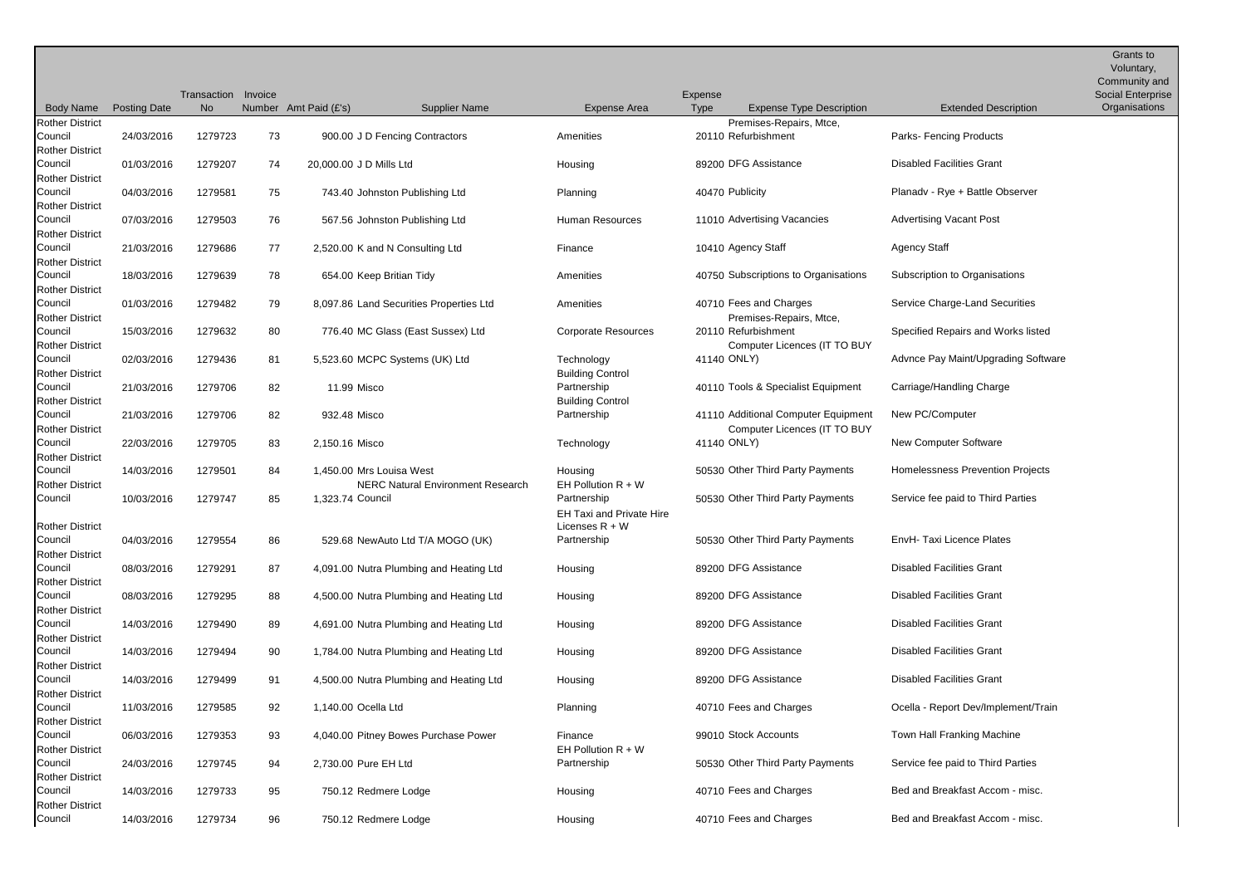|                                            |                     |             |         |                                                                      |                                                                    |             |                                                                     |                                     | Grants to<br>Voluntary, |
|--------------------------------------------|---------------------|-------------|---------|----------------------------------------------------------------------|--------------------------------------------------------------------|-------------|---------------------------------------------------------------------|-------------------------------------|-------------------------|
|                                            |                     |             |         |                                                                      |                                                                    |             |                                                                     |                                     | Community and           |
|                                            |                     | Transaction | Invoice |                                                                      |                                                                    | Expense     |                                                                     |                                     | Social Enterprise       |
| <b>Body Name</b><br><b>Rother District</b> | <b>Posting Date</b> | <b>No</b>   |         | Number Amt Paid (£'s)<br><b>Supplier Name</b>                        | <b>Expense Area</b>                                                | <b>Type</b> | <b>Expense Type Description</b>                                     | <b>Extended Description</b>         | Organisations           |
| Council<br><b>Rother District</b>          | 24/03/2016          | 1279723     | 73      | 900.00 J D Fencing Contractors                                       | Amenities                                                          |             | Premises-Repairs, Mtce,<br>20110 Refurbishment                      | <b>Parks-Fencing Products</b>       |                         |
| Council<br><b>Rother District</b>          | 01/03/2016          | 1279207     | 74      | 20,000.00 J D Mills Ltd                                              | Housing                                                            |             | 89200 DFG Assistance                                                | <b>Disabled Facilities Grant</b>    |                         |
| Council<br><b>Rother District</b>          | 04/03/2016          | 1279581     | 75      | 743.40 Johnston Publishing Ltd                                       | Planning                                                           |             | 40470 Publicity                                                     | Planady - Rye + Battle Observer     |                         |
| Council<br><b>Rother District</b>          | 07/03/2016          | 1279503     | 76      | 567.56 Johnston Publishing Ltd                                       | Human Resources                                                    |             | 11010 Advertising Vacancies                                         | <b>Advertising Vacant Post</b>      |                         |
| Council<br><b>Rother District</b>          | 21/03/2016          | 1279686     | 77      | 2,520.00 K and N Consulting Ltd                                      | Finance                                                            |             | 10410 Agency Staff                                                  | <b>Agency Staff</b>                 |                         |
| Council<br><b>Rother District</b>          | 18/03/2016          | 1279639     | 78      | 654.00 Keep Britian Tidy                                             | Amenities                                                          |             | 40750 Subscriptions to Organisations                                | Subscription to Organisations       |                         |
| Council<br><b>Rother District</b>          | 01/03/2016          | 1279482     | 79      | 8,097.86 Land Securities Properties Ltd                              | Amenities                                                          |             | 40710 Fees and Charges<br>Premises-Repairs, Mtce,                   | Service Charge-Land Securities      |                         |
| Council<br><b>Rother District</b>          | 15/03/2016          | 1279632     | 80      | 776.40 MC Glass (East Sussex) Ltd                                    | <b>Corporate Resources</b>                                         |             | 20110 Refurbishment<br>Computer Licences (IT TO BUY                 | Specified Repairs and Works listed  |                         |
| Council<br><b>Rother District</b>          | 02/03/2016          | 1279436     | 81      | 5,523.60 MCPC Systems (UK) Ltd                                       | Technology<br><b>Building Control</b>                              |             | 41140 ONLY)                                                         | Advnce Pay Maint/Upgrading Software |                         |
| Council<br><b>Rother District</b>          | 21/03/2016          | 1279706     | 82      | 11.99 Misco                                                          | Partnership<br><b>Building Control</b>                             |             | 40110 Tools & Specialist Equipment                                  | Carriage/Handling Charge            |                         |
| Council<br><b>Rother District</b>          | 21/03/2016          | 1279706     | 82      | 932.48 Misco                                                         | Partnership                                                        |             | 41110 Additional Computer Equipment<br>Computer Licences (IT TO BUY | New PC/Computer                     |                         |
| Council<br><b>Rother District</b>          | 22/03/2016          | 1279705     | 83      | 2,150.16 Misco                                                       | Technology                                                         |             | 41140 ONLY)                                                         | <b>New Computer Software</b>        |                         |
| Council<br><b>Rother District</b>          | 14/03/2016          | 1279501     | 84      | 1,450.00 Mrs Louisa West<br><b>NERC Natural Environment Research</b> | Housing<br>EH Pollution $R + W$                                    |             | 50530 Other Third Party Payments                                    | Homelessness Prevention Projects    |                         |
| Council<br><b>Rother District</b>          | 10/03/2016          | 1279747     | 85      | 1,323.74 Council                                                     | Partnership<br><b>EH Taxi and Private Hire</b><br>Licenses $R + W$ |             | 50530 Other Third Party Payments                                    | Service fee paid to Third Parties   |                         |
| Council<br><b>Rother District</b>          | 04/03/2016          | 1279554     | 86      | 529.68 NewAuto Ltd T/A MOGO (UK)                                     | Partnership                                                        |             | 50530 Other Third Party Payments                                    | EnvH- Taxi Licence Plates           |                         |
| Council<br><b>Rother District</b>          | 08/03/2016          | 1279291     | 87      | 4,091.00 Nutra Plumbing and Heating Ltd                              | Housing                                                            |             | 89200 DFG Assistance                                                | <b>Disabled Facilities Grant</b>    |                         |
| Council<br><b>Rother District</b>          | 08/03/2016          | 1279295     | 88      | 4,500.00 Nutra Plumbing and Heating Ltd                              | Housing                                                            |             | 89200 DFG Assistance                                                | <b>Disabled Facilities Grant</b>    |                         |
| Council<br><b>Rother District</b>          | 14/03/2016          | 1279490     | 89      | 4,691.00 Nutra Plumbing and Heating Ltd                              | Housing                                                            |             | 89200 DFG Assistance                                                | <b>Disabled Facilities Grant</b>    |                         |
| Council<br><b>Rother District</b>          | 14/03/2016          | 1279494     | 90      | 1,784.00 Nutra Plumbing and Heating Ltd                              | Housing                                                            |             | 89200 DFG Assistance                                                | <b>Disabled Facilities Grant</b>    |                         |
| Council<br><b>Rother District</b>          | 14/03/2016          | 1279499     | 91      | 4,500.00 Nutra Plumbing and Heating Ltd                              | Housing                                                            |             | 89200 DFG Assistance                                                | <b>Disabled Facilities Grant</b>    |                         |
| Council<br><b>Rother District</b>          | 11/03/2016          | 1279585     | 92      | 1,140.00 Ocella Ltd                                                  | Planning                                                           |             | 40710 Fees and Charges                                              | Ocella - Report Dev/Implement/Train |                         |
| Council<br><b>Rother District</b>          | 06/03/2016          | 1279353     | 93      | 4,040.00 Pitney Bowes Purchase Power                                 | Finance<br>EH Pollution $R + W$                                    |             | 99010 Stock Accounts                                                | Town Hall Franking Machine          |                         |
| Council<br><b>Rother District</b>          | 24/03/2016          | 1279745     | 94      | 2,730.00 Pure EH Ltd                                                 | Partnership                                                        |             | 50530 Other Third Party Payments                                    | Service fee paid to Third Parties   |                         |
| Council<br><b>Rother District</b>          | 14/03/2016          | 1279733     | 95      | 750.12 Redmere Lodge                                                 | Housing                                                            |             | 40710 Fees and Charges                                              | Bed and Breakfast Accom - misc.     |                         |
| Council                                    | 14/03/2016          | 1279734     | 96      | 750.12 Redmere Lodge                                                 | Housing                                                            |             | 40710 Fees and Charges                                              | Bed and Breakfast Accom - misc.     |                         |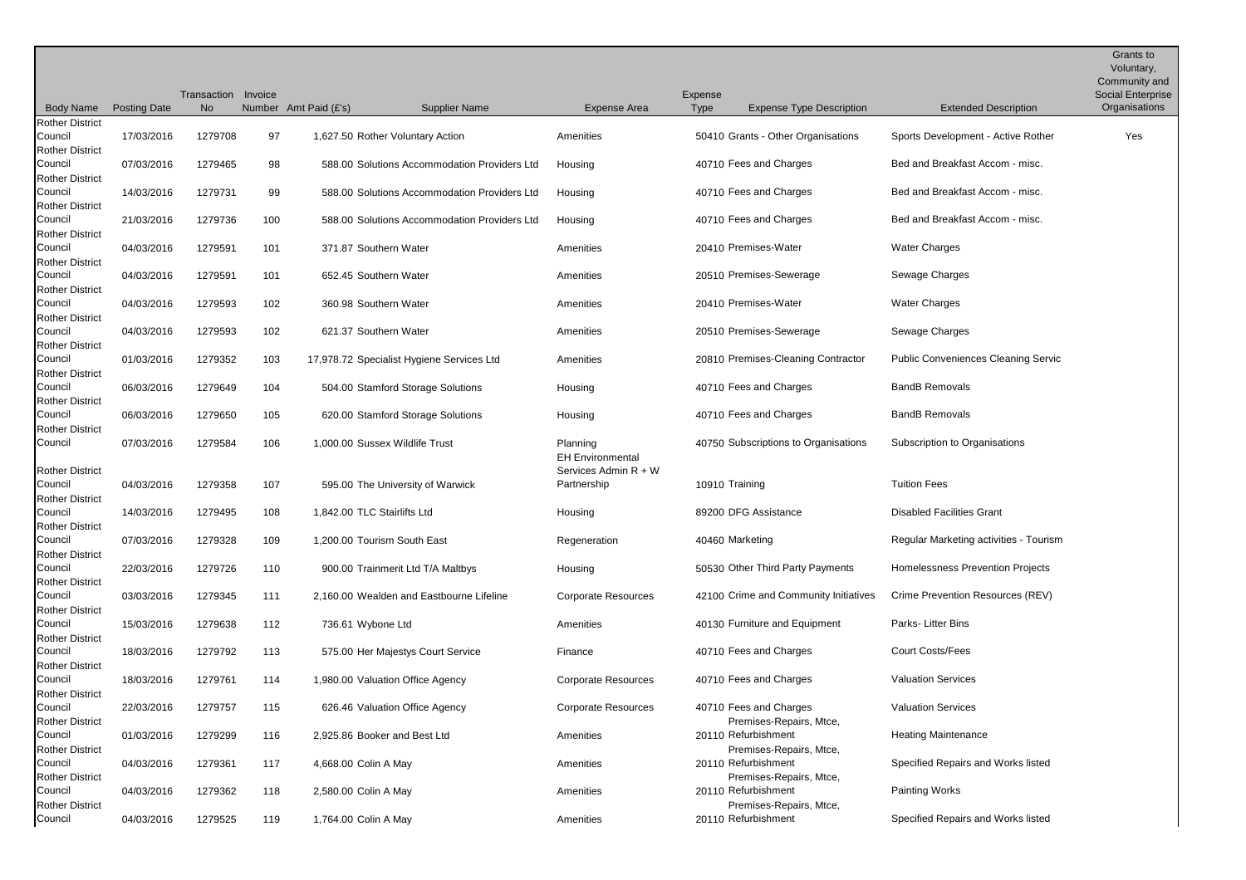|                                                             |                     | Transaction Invoice |     |                                              |                                                             |                        |                                                   |                                            | Grants to<br>Voluntary,<br>Community and<br><b>Social Enterprise</b> |
|-------------------------------------------------------------|---------------------|---------------------|-----|----------------------------------------------|-------------------------------------------------------------|------------------------|---------------------------------------------------|--------------------------------------------|----------------------------------------------------------------------|
| <b>Body Name</b>                                            | <b>Posting Date</b> | No                  |     | Number Amt Paid (£'s)<br>Supplier Name       | Expense Area                                                | Expense<br><b>Type</b> | <b>Expense Type Description</b>                   | <b>Extended Description</b>                | Organisations                                                        |
| <b>Rother District</b><br>Council<br><b>Rother District</b> | 17/03/2016          | 1279708             | 97  | 1,627.50 Rother Voluntary Action             | Amenities                                                   |                        | 50410 Grants - Other Organisations                | Sports Development - Active Rother         | Yes                                                                  |
| Council<br><b>Rother District</b>                           | 07/03/2016          | 1279465             | 98  | 588.00 Solutions Accommodation Providers Ltd | Housing                                                     |                        | 40710 Fees and Charges                            | Bed and Breakfast Accom - misc.            |                                                                      |
| Council<br><b>Rother District</b>                           | 14/03/2016          | 1279731             | 99  | 588.00 Solutions Accommodation Providers Ltd | Housing                                                     |                        | 40710 Fees and Charges                            | Bed and Breakfast Accom - misc.            |                                                                      |
| Council<br><b>Rother District</b>                           | 21/03/2016          | 1279736             | 100 | 588.00 Solutions Accommodation Providers Ltd | Housing                                                     |                        | 40710 Fees and Charges                            | Bed and Breakfast Accom - misc.            |                                                                      |
| Council<br><b>Rother District</b>                           | 04/03/2016          | 1279591             | 101 | 371.87 Southern Water                        | Amenities                                                   |                        | 20410 Premises-Water                              | <b>Water Charges</b>                       |                                                                      |
| Council<br><b>Rother District</b>                           | 04/03/2016          | 1279591             | 101 | 652.45 Southern Water                        | Amenities                                                   |                        | 20510 Premises-Sewerage                           | Sewage Charges                             |                                                                      |
| Council<br><b>Rother District</b>                           | 04/03/2016          | 1279593             | 102 | 360.98 Southern Water                        | Amenities                                                   |                        | 20410 Premises-Water                              | <b>Water Charges</b>                       |                                                                      |
| Council<br><b>Rother District</b>                           | 04/03/2016          | 1279593             | 102 | 621.37 Southern Water                        | Amenities                                                   |                        | 20510 Premises-Sewerage                           | Sewage Charges                             |                                                                      |
| Council<br><b>Rother District</b>                           | 01/03/2016          | 1279352             | 103 | 17,978.72 Specialist Hygiene Services Ltd    | Amenities                                                   |                        | 20810 Premises-Cleaning Contractor                | <b>Public Conveniences Cleaning Servic</b> |                                                                      |
| Council<br><b>Rother District</b>                           | 06/03/2016          | 1279649             | 104 | 504.00 Stamford Storage Solutions            | Housing                                                     |                        | 40710 Fees and Charges                            | <b>BandB Removals</b>                      |                                                                      |
| Council<br><b>Rother District</b>                           | 06/03/2016          | 1279650             | 105 | 620.00 Stamford Storage Solutions            | Housing                                                     |                        | 40710 Fees and Charges                            | <b>BandB Removals</b>                      |                                                                      |
| Council<br><b>Rother District</b>                           | 07/03/2016          | 1279584             | 106 | 1,000.00 Sussex Wildlife Trust               | Planning<br><b>EH Environmental</b><br>Services Admin R + W |                        | 40750 Subscriptions to Organisations              | Subscription to Organisations              |                                                                      |
| Council<br><b>Rother District</b>                           | 04/03/2016          | 1279358             | 107 | 595.00 The University of Warwick             | Partnership                                                 | 10910 Training         |                                                   | <b>Tuition Fees</b>                        |                                                                      |
| Council<br><b>Rother District</b>                           | 14/03/2016          | 1279495             | 108 | 1,842.00 TLC Stairlifts Ltd                  | Housing                                                     |                        | 89200 DFG Assistance                              | <b>Disabled Facilities Grant</b>           |                                                                      |
| Council<br><b>Rother District</b>                           | 07/03/2016          | 1279328             | 109 | 1,200.00 Tourism South East                  | Regeneration                                                | 40460 Marketing        |                                                   | Regular Marketing activities - Tourism     |                                                                      |
| Council<br><b>Rother District</b>                           | 22/03/2016          | 1279726             | 110 | 900.00 Trainmerit Ltd T/A Maltbys            | Housing                                                     |                        | 50530 Other Third Party Payments                  | <b>Homelessness Prevention Projects</b>    |                                                                      |
| Council<br><b>Rother District</b>                           | 03/03/2016          | 1279345             | 111 | 2.160.00 Wealden and Eastbourne Lifeline     | <b>Corporate Resources</b>                                  |                        | 42100 Crime and Community Initiatives             | Crime Prevention Resources (REV)           |                                                                      |
| Council<br><b>Rother District</b>                           | 15/03/2016          | 1279638             | 112 | 736.61 Wybone Ltd                            | Amenities                                                   |                        | 40130 Furniture and Equipment                     | Parks-Litter Bins                          |                                                                      |
| Council<br><b>Rother District</b>                           | 18/03/2016          | 1279792             | 113 | 575.00 Her Majestys Court Service            | Finance                                                     |                        | 40710 Fees and Charges                            | <b>Court Costs/Fees</b>                    |                                                                      |
| Council<br><b>Rother District</b>                           | 18/03/2016          | 1279761             | 114 | 1,980.00 Valuation Office Agency             | <b>Corporate Resources</b>                                  |                        | 40710 Fees and Charges                            | <b>Valuation Services</b>                  |                                                                      |
| Council<br><b>Rother District</b>                           | 22/03/2016          | 1279757             | 115 | 626.46 Valuation Office Agency               | <b>Corporate Resources</b>                                  |                        | 40710 Fees and Charges<br>Premises-Repairs, Mtce, | <b>Valuation Services</b>                  |                                                                      |
| Council<br><b>Rother District</b>                           | 01/03/2016          | 1279299             | 116 | 2,925.86 Booker and Best Ltd                 | Amenities                                                   |                        | 20110 Refurbishment<br>Premises-Repairs, Mtce,    | <b>Heating Maintenance</b>                 |                                                                      |
| Council<br><b>Rother District</b>                           | 04/03/2016          | 1279361             | 117 | 4,668.00 Colin A May                         | Amenities                                                   |                        | 20110 Refurbishment<br>Premises-Repairs, Mtce,    | Specified Repairs and Works listed         |                                                                      |
| Council<br><b>Rother District</b>                           | 04/03/2016          | 1279362             | 118 | 2,580.00 Colin A May                         | Amenities                                                   |                        | 20110 Refurbishment<br>Premises-Repairs, Mtce,    | Painting Works                             |                                                                      |
| Council                                                     | 04/03/2016          | 1279525             | 119 | 1,764.00 Colin A May                         | Amenities                                                   |                        | 20110 Refurbishment                               | Specified Repairs and Works listed         |                                                                      |